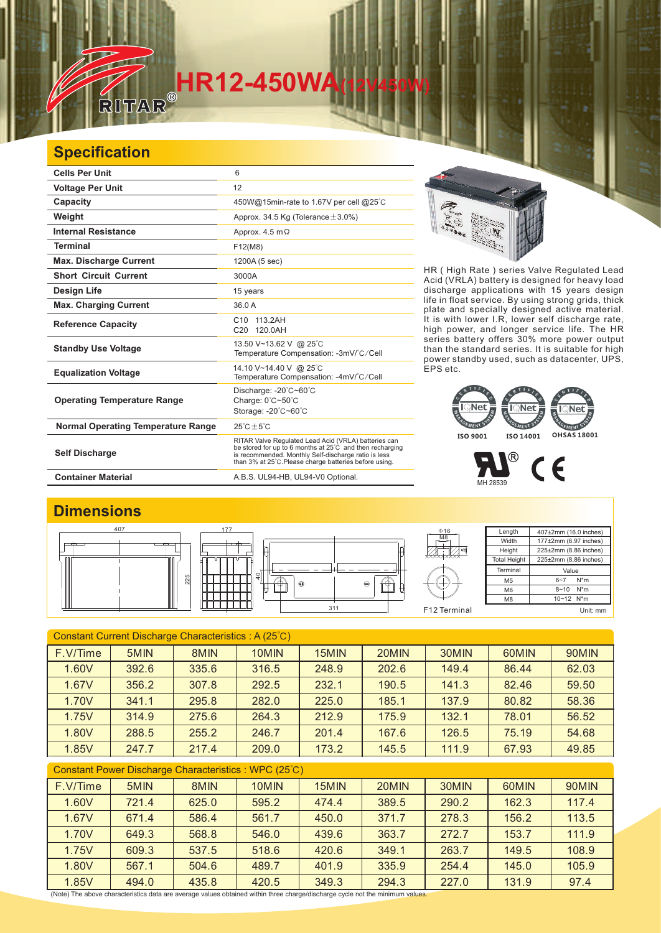# **HR12-450WA**<br>RITAR®

#### **Specification**

 $\mathbb{Z}$ 

| <b>Cells Per Unit</b>                     | 6                                                                                                                                                                                                                                  |
|-------------------------------------------|------------------------------------------------------------------------------------------------------------------------------------------------------------------------------------------------------------------------------------|
| <b>Voltage Per Unit</b>                   | 12                                                                                                                                                                                                                                 |
| Capacity                                  | 450W@15min-rate to 1.67V per cell @25°C                                                                                                                                                                                            |
| Weight                                    | Approx. 34.5 Kg (Tolerance $\pm$ 3.0%)                                                                                                                                                                                             |
| <b>Internal Resistance</b>                | Approx. $4.5 \text{ m}\Omega$                                                                                                                                                                                                      |
| <b>Terminal</b>                           | F12(M8)                                                                                                                                                                                                                            |
| <b>Max. Discharge Current</b>             | 1200A (5 sec)                                                                                                                                                                                                                      |
| <b>Short Circuit Current</b>              | 3000A                                                                                                                                                                                                                              |
| Design Life                               | 15 years                                                                                                                                                                                                                           |
| <b>Max. Charging Current</b>              | 36.0 A                                                                                                                                                                                                                             |
| <b>Reference Capacity</b>                 | C <sub>10</sub> 113.2AH<br>C20 120.0AH                                                                                                                                                                                             |
| <b>Standby Use Voltage</b>                | 13.50 V~13.62 V @ 25°C<br>Temperature Compensation: -3mV/°C/Cell                                                                                                                                                                   |
| <b>Equalization Voltage</b>               | 14.10 V~14.40 V @ 25°C<br>Temperature Compensation: -4mV/°C/Cell                                                                                                                                                                   |
| <b>Operating Temperature Range</b>        | Discharge: -20°C~60°C<br>Charge: $0^{\circ}$ C $\sim$ 50 $^{\circ}$ C<br>Storage: -20°C~60°C                                                                                                                                       |
| <b>Normal Operating Temperature Range</b> | $25^{\circ}$ C + 5 $^{\circ}$ C                                                                                                                                                                                                    |
| <b>Self Discharge</b>                     | RITAR Valve Regulated Lead Acid (VRLA) batteries can<br>be stored for up to 6 months at 25°C and then recharging<br>is recommended. Monthly Self-discharge ratio is less<br>than 3% at 25°C. Please charge batteries before using. |
| <b>Container Material</b>                 | A.B.S. UL94-HB, UL94-V0 Optional.                                                                                                                                                                                                  |



HR ( High Rate ) series Valve Regulated Lead Acid (VRLA) battery is designed for heavy load discharge applications with 15 years design life in float service. By using strong grids, and specially designed active material. It is with lower I.R, lower self discharge rate, high power, and longer service life. The HR series battery offers 30% more power output than the standard series. It is suitable for high power standby used, such as datacenter, UPS, EPS etc. thick plate

### **EMENT** EMENT **ISO 9001 ISO 14001 OHSAS 18001**



#### **Dimensions**

 $\overline{\phantom{a}}$ 



| Constant Current Discharge Characteristics: A (25°C) |       |       |       |       |       |       |       |       |  |
|------------------------------------------------------|-------|-------|-------|-------|-------|-------|-------|-------|--|
| F.V/Time                                             | 5MIN  | 8MIN  | 10MIN | 15MIN | 20MIN | 30MIN | 60MIN | 90MIN |  |
| 1.60V                                                | 392.6 | 335.6 | 316.5 | 248.9 | 202.6 | 149.4 | 86.44 | 62.03 |  |
| 1.67V                                                | 356.2 | 307.8 | 292.5 | 232.1 | 190.5 | 141.3 | 82.46 | 59.50 |  |
| 1.70V                                                | 341.1 | 295.8 | 282.0 | 225.0 | 185.1 | 137.9 | 80.82 | 58.36 |  |
| 1.75V                                                | 314.9 | 275.6 | 264.3 | 212.9 | 175.9 | 132.1 | 78.01 | 56.52 |  |
| 1.80V                                                | 288.5 | 255.2 | 246.7 | 201.4 | 167.6 | 126.5 | 75.19 | 54.68 |  |
| 1.85V                                                | 247.7 | 217.4 | 209.0 | 173.2 | 145.5 | 111.9 | 67.93 | 49.85 |  |
| Constant Power Discharge Characteristics: WPC (25°C) |       |       |       |       |       |       |       |       |  |
| F.V/Time                                             | 5MIN  | 8MIN  | 10MIN | 15MIN | 20MIN | 30MIN | 60MIN | 90MIN |  |
| 1.60V                                                | 721.4 | 625.0 | 595.2 | 474.4 | 389.5 | 290.2 | 162.3 | 117.4 |  |
| 1.67V                                                | 671.4 | 586.4 | 561.7 | 450.0 | 371.7 | 278.3 | 156.2 | 113.5 |  |
| 1.70V                                                | 649.3 | 568.8 | 546.0 | 439.6 | 363.7 | 272.7 | 153.7 | 111.9 |  |
| 1.75V                                                | 609.3 | 537.5 | 518.6 | 420.6 | 349.1 | 263.7 | 149.5 | 108.9 |  |
| 1.80V                                                | 567.1 | 504.6 | 489.7 | 401.9 | 335.9 | 254.4 | 145.0 | 105.9 |  |
| 1.85V                                                | 494.0 | 435.8 | 420.5 | 349.3 | 294.3 | 227.0 | 131.9 | 97.4  |  |

(Note) The above characteristics data are average values obtained within three charge/discharge cycle not the minimum values.